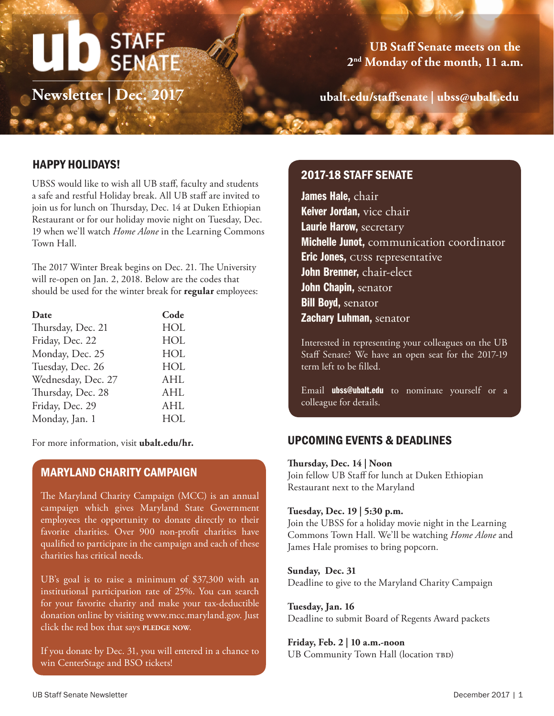# STAFF<br>SENATE

**Newsletter | Dec. 2017**

**UB Staff Senate meets on the 2nd Monday of the month, 11 a.m.**

**ubalt.edu/staffsenate | ubss@ubalt.edu**

# HAPPY HOLIDAYS!

UBSS would like to wish all UB staff, faculty and students a safe and restful Holiday break. All UB staff are invited to join us for lunch on Thursday, Dec. 14 at Duken Ethiopian Restaurant or for our holiday movie night on Tuesday, Dec. 19 when we'll watch *Home Alone* in the Learning Commons Town Hall.

The 2017 Winter Break begins on Dec. 21. The University will re-open on Jan. 2, 2018. Below are the codes that should be used for the winter break for **regular** employees:

| Date               | Code       |
|--------------------|------------|
| Thursday, Dec. 21  | HOL        |
| Friday, Dec. 22    | HOL        |
| Monday, Dec. 25    | HOL        |
| Tuesday, Dec. 26   | HOL        |
| Wednesday, Dec. 27 | <b>AHL</b> |
| Thursday, Dec. 28  | <b>AHL</b> |
| Friday, Dec. 29    | <b>AHL</b> |
| Monday, Jan. 1     | <b>HOL</b> |
|                    |            |

For more information, visit **ubalt.edu/hr.**

## MARYLAND CHARITY CAMPAIGN

The Maryland Charity Campaign (MCC) is an annual campaign which gives Maryland State Government employees the opportunity to donate directly to their favorite charities. Over 900 non-profit charities have qualified to participate in the campaign and each of these charities has critical needs.

UB's goal is to raise a minimum of \$37,300 with an institutional participation rate of 25%. You can search for your favorite charity and make your tax-deductible donation online by visiting www.mcc.maryland.gov. Just click the red box that says **PLEDGE** NOW.

If you donate by Dec. 31, you will entered in a chance to win CenterStage and BSO tickets!

# 2017-18 STAFF SENATE

James Hale, chair Keiver Jordan, vice chair Laurie Harow, secretary Michelle Junot, communication coordinator **Eric Jones, CUSS representative** John Brenner, chair-elect John Chapin, senator **Bill Boyd, senator** Zachary Luhman, senator

Interested in representing your colleagues on the UB Staff Senate? We have an open seat for the 2017-19 term left to be filled.

Email **ubss@ubalt.edu** to nominate yourself or a colleague for details.

## UPCOMING EVENTS & DEADLINES

#### **Thursday, Dec. 14 | Noon**

Join fellow UB Staff for lunch at Duken Ethiopian Restaurant next to the Maryland

#### **Tuesday, Dec. 19 | 5:30 p.m.**

Join the UBSS for a holiday movie night in the Learning Commons Town Hall. We'll be watching *Home Alone* and James Hale promises to bring popcorn.

#### **Sunday, Dec. 31** Deadline to give to the Maryland Charity Campaign

**Tuesday, Jan. 16** Deadline to submit Board of Regents Award packets

#### **Friday, Feb. 2 | 10 a.m.-noon**

UB Community Town Hall (location TBD)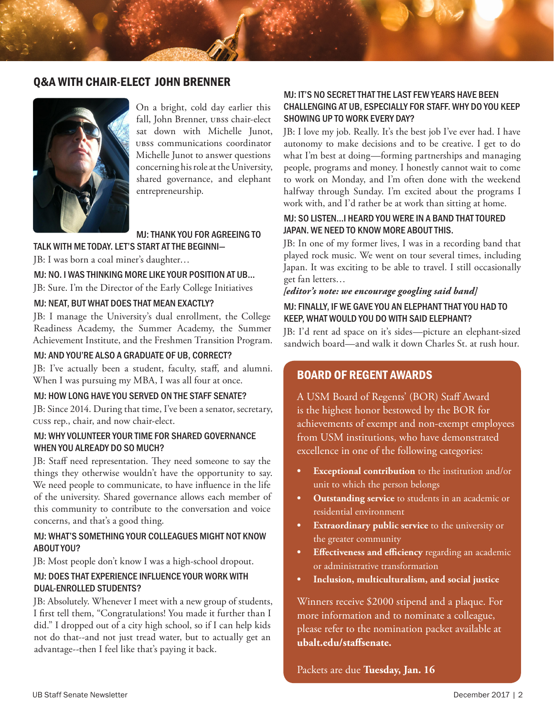## Q&A WITH CHAIR-ELECT JOHN BRENNER



On a bright, cold day earlier this fall, John Brenner, ubss chair-elect sat down with Michelle Junot, ubss communications coordinator Michelle Junot to answer questions concerning his role at the University, shared governance, and elephant entrepreneurship.

MJ: THANK YOU FOR AGREEING TO TALK WITH ME TODAY. LET'S START AT THE BEGINNI—

JB: I was born a coal miner's daughter…

MJ: NO. I WAS THINKING MORE LIKE YOUR POSITION AT UB…

JB: Sure. I'm the Director of the Early College Initiatives

#### MJ: NEAT, BUT WHAT DOES THAT MEAN EXACTLY?

JB: I manage the University's dual enrollment, the College Readiness Academy, the Summer Academy, the Summer Achievement Institute, and the Freshmen Transition Program.

#### MJ: AND YOU'RE ALSO A GRADUATE OF UB, CORRECT?

JB: I've actually been a student, faculty, staff, and alumni. When I was pursuing my MBA, I was all four at once.

#### MJ: HOW LONG HAVE YOU SERVED ON THE STAFF SENATE?

JB: Since 2014. During that time, I've been a senator, secretary, cuss rep., chair, and now chair-elect.

### MJ: WHY VOLUNTEER YOUR TIME FOR SHARED GOVERNANCE WHEN YOU ALREADY DO SO MUCH?

JB: Staff need representation. They need someone to say the things they otherwise wouldn't have the opportunity to say. We need people to communicate, to have influence in the life of the university. Shared governance allows each member of this community to contribute to the conversation and voice concerns, and that's a good thing.

### MJ: WHAT'S SOMETHING YOUR COLLEAGUES MIGHT NOT KNOW ABOUT YOU?

JB: Most people don't know I was a high-school dropout.

### MJ: DOES THAT EXPERIENCE INFLUENCE YOUR WORK WITH DUAL-ENROLLED STUDENTS?

JB: Absolutely. Whenever I meet with a new group of students, I first tell them, "Congratulations! You made it further than I did." I dropped out of a city high school, so if I can help kids not do that--and not just tread water, but to actually get an advantage--then I feel like that's paying it back.

## MJ: IT'S NO SECRET THAT THE LAST FEW YEARS HAVE BEEN CHALLENGING AT UB, ESPECIALLY FOR STAFF. WHY DO YOU KEEP SHOWING UP TO WORK EVERY DAY?

JB: I love my job. Really. It's the best job I've ever had. I have autonomy to make decisions and to be creative. I get to do what I'm best at doing—forming partnerships and managing people, programs and money. I honestly cannot wait to come to work on Monday, and I'm often done with the weekend halfway through Sunday. I'm excited about the programs I work with, and I'd rather be at work than sitting at home.

## MJ: SO LISTEN...I HEARD YOU WERE IN A BAND THAT TOURED JAPAN. WE NEED TO KNOW MORE ABOUT THIS.

JB: In one of my former lives, I was in a recording band that played rock music. We went on tour several times, including Japan. It was exciting to be able to travel. I still occasionally get fan letters…

#### *[editor's note: we encourage googling said band]*

## MJ: FINALLY, IF WE GAVE YOU AN ELEPHANT THAT YOU HAD TO KEEP, WHAT WOULD YOU DO WITH SAID ELEPHANT?

JB: I'd rent ad space on it's sides—picture an elephant-sized sandwich board—and walk it down Charles St. at rush hour.

# BOARD OF REGENT AWARDS

A USM Board of Regents' (BOR) Staff Award is the highest honor bestowed by the BOR for achievements of exempt and non-exempt employees from USM institutions, who have demonstrated excellence in one of the following categories:

- **• Exceptional contribution** to the institution and/or unit to which the person belongs
- **• Outstanding service** to students in an academic or residential environment
- **Extraordinary public service** to the university or the greater community
- **• Effectiveness and efficiency** regarding an academic or administrative transformation
- **• Inclusion, multiculturalism, and social justice**

Winners receive \$2000 stipend and a plaque. For more information and to nominate a colleague, please refer to the nomination packet available at **ubalt.edu/staffsenate.**

## Packets are due **Tuesday, Jan. 16**